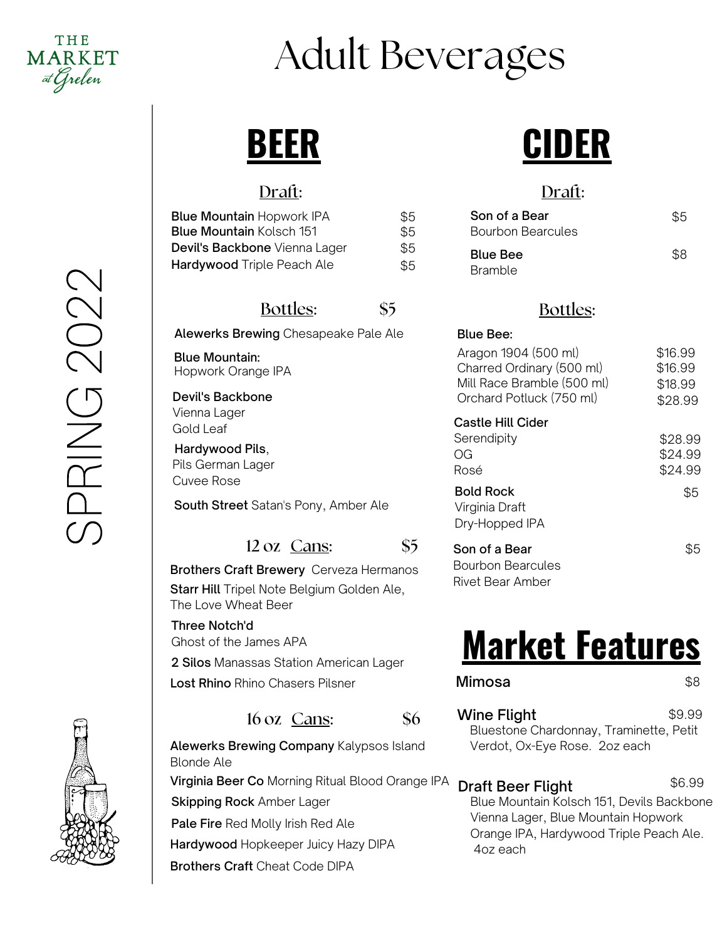# Adult Beverages

## **BEER**

#### Draft:

Devil's Backbone Vienna Lager Gold Leaf

Hardywood Pils, Pils German Lager Cuvee Rose

Blue Mountain: Hopwork Orange IPA

The Love Wheat Beer

Ghost of the James APA

Three Notch'd

| <b>Blue Mountain Hopwork IPA</b>  | \$5 | Son of a Bear            |
|-----------------------------------|-----|--------------------------|
| <b>Blue Mountain Kolsch 151</b>   | \$5 | <b>Bourbon Bearcules</b> |
| Devil's Backbone Vienna Lager     | \$5 | <b>Blue Bee</b>          |
| <b>Hardywood</b> Triple Peach Ale | \$5 | <b>Bramble</b>           |

Alewerks Brewing Chesapeake Pale Ale

Bottles: \$5

12 oz Cans: \$5

## **CIDER**

#### Draft:

| \$5<br>\$5 | Son of a Bear<br><b>Bourbon Bearcules</b> | \$5 |
|------------|-------------------------------------------|-----|
| \$5<br>\$5 | <b>Blue Bee</b><br><b>Bramble</b>         | \$8 |

#### Bottles:

| <b>Blue Bee:</b>                                                                                            |                                          |
|-------------------------------------------------------------------------------------------------------------|------------------------------------------|
| Aragon 1904 (500 ml)<br>Charred Ordinary (500 ml)<br>Mill Race Bramble (500 ml)<br>Orchard Potluck (750 ml) | \$16.99<br>\$16.99<br>\$18.99<br>\$28.99 |
| <b>Castle Hill Cider</b>                                                                                    |                                          |
| Serendipity                                                                                                 | \$28.99                                  |
| OG                                                                                                          | \$24.99                                  |
| Rosé                                                                                                        | \$24.99                                  |
| <b>Bold Rock</b><br>Virginia Draft<br>Dry-Hopped IPA                                                        | \$5                                      |
| Son of a Bear<br>Bourbon Bearcules<br>Rivet Bear Amber                                                      | \$5                                      |

# **Market Features**

| Mimosa                                                 | \$8    |
|--------------------------------------------------------|--------|
| Wine Flight<br>Rluestone Chardonnay, Traminette, Petit | \$9.99 |

Bluestone Chardonnay, Traminette, Petit Verdot, Ox-Eye Rose. 2oz each

Draft Beer Flight Blue Mountain Kolsch 151, Devils Backbone Vienna Lager, Blue Mountain Hopwork Orange IPA, Hardywood Triple Peach Ale. 4oz each \$6.99

 $\bigcirc$  $\Box$  $\Xi$ G $\bigcirc$  $\bigcirc$  $\bigcirc$  $\bigcirc$ 



 $16 \text{ oz}$  Cans:  $\$6$ 

2 Silos Manassas Station American Lager

Lost Rhino Rhino Chasers Pilsner

Starr Hill Tripel Note Belgium Golden Ale,

Brothers Craft Brewery Cerveza Hermanos

South Street Satan's Pony, Amber Ale

Alewerks Brewing Company Kalypsos Island Blonde Ale Virginia Beer Co Morning Ritual Blood Orange IPA **Skipping Rock Amber Lager** Pale Fire Red Molly Irish Red Ale Hardywood Hopkeeper Juicy Hazy DIPA Brothers Craft Cheat Code DIPA